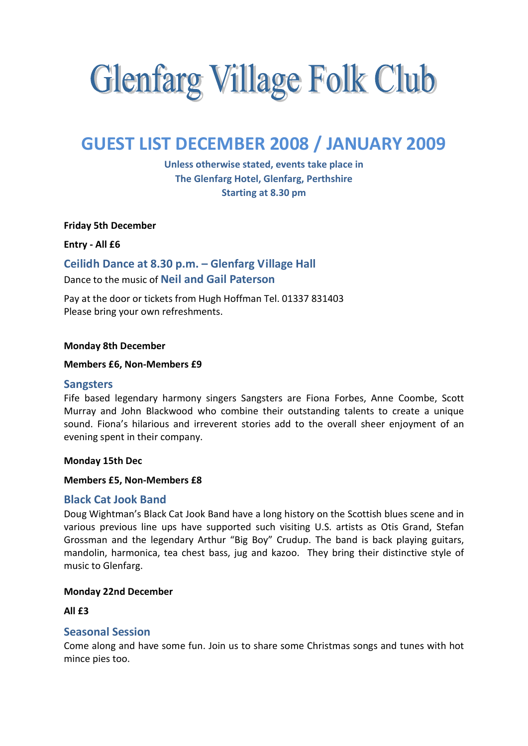# **Glenfarg Village Folk Club**

# GUEST LIST DECEMBER 2008 / JANUARY 2009

Unless otherwise stated, events take place in The Glenfarg Hotel, Glenfarg, Perthshire Starting at 8.30 pm

Friday 5th December

Entry - All £6

Ceilidh Dance at 8.30 p.m. – Glenfarg Village Hall Dance to the music of Neil and Gail Paterson

Pay at the door or tickets from Hugh Hoffman Tel. 01337 831403 Please bring your own refreshments.

#### Monday 8th December

#### Members £6, Non-Members £9

#### **Sangsters**

Fife based legendary harmony singers Sangsters are Fiona Forbes, Anne Coombe, Scott Murray and John Blackwood who combine their outstanding talents to create a unique sound. Fiona's hilarious and irreverent stories add to the overall sheer enjoyment of an evening spent in their company.

#### Monday 15th Dec

#### Members £5, Non-Members £8

## Black Cat Jook Band

Doug Wightman's Black Cat Jook Band have a long history on the Scottish blues scene and in various previous line ups have supported such visiting U.S. artists as Otis Grand, Stefan Grossman and the legendary Arthur "Big Boy" Crudup. The band is back playing guitars, mandolin, harmonica, tea chest bass, jug and kazoo. They bring their distinctive style of music to Glenfarg.

#### Monday 22nd December

#### $All$   $f3$

# Seasonal Session

Come along and have some fun. Join us to share some Christmas songs and tunes with hot mince pies too.